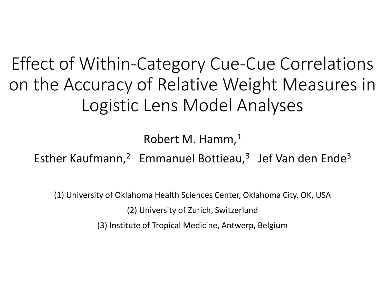Effect of Within-Category Cue-Cue Correlations on the Accuracy of Relative Weight Measures in Logistic Lens Model Analyses

Robert M. Hamm, $<sup>1</sup>$ </sup>

Esther Kaufmann,<sup>2</sup> Emmanuel Bottieau,<sup>3</sup> Jef Van den Ende<sup>3</sup>

(1) University of Oklahoma Health Sciences Center, Oklahoma City, OK, USA

(2) University of Zurich, Switzerland

(3) Institute of Tropical Medicine, Antwerp, Belgium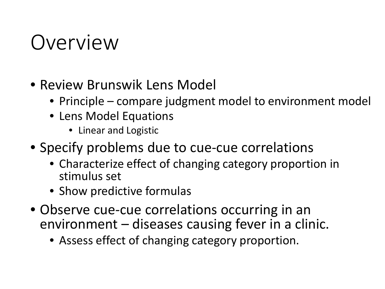### Overview

- Review Brunswik Lens Model
	- Principle compare judgment model to environment model
	- Lens Model Equations
		- Linear and Logistic
- Specify problems due to cue-cue correlations
	- Characterize effect of changing category proportion in stimulus set
	- Show predictive formulas
- Observe cue-cue correlations occurring in an environment – diseases causing fever in a clinic.
	- Assess effect of changing category proportion.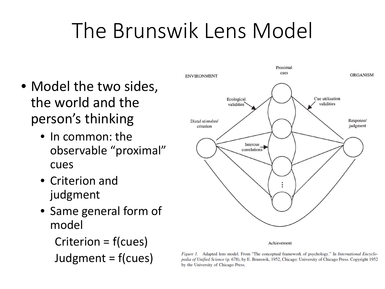## The Brunswik Lens Model

- Model the two sides, the world and the person's thinking
	- In common: the observable "proximal" cues
	- Criterion and judgment
	- Same general form of model

Criterion = f(cues) Judgment = f(cues)



Figure 1. Adapted lens model. From "The conceptual framework of psychology." In International Encyclopedia of Unified Science (p. 678), by E. Brunswik, 1952, Chicago: University of Chicago Press. Copyright 1952 by the University of Chicago Press.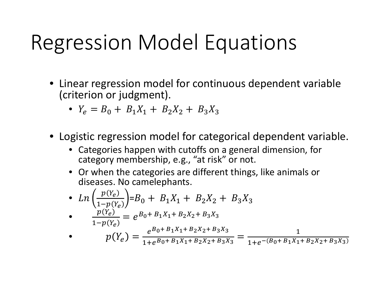## Regression Model Equations

- Linear regression model for continuous dependent variable (criterion or judgment).
	- $Y_e = B_0 + B_1 X_1 + B_2 X_2 + B_3 X_3$
- Logistic regression model for categorical dependent variable.
	- Categories happen with cutoffs on a general dimension, for category membership, e.g., "at risk" or not.
	- Or when the categories are different things, like animals or diseases. No camelephants.

• 
$$
Ln\left(\frac{p(Y_e)}{1-p(Y_e)}\right) = B_0 + B_1X_1 + B_2X_2 + B_3X_3
$$

• 
$$
\frac{p(Y_e)}{1-p(Y_e)} = e^{B_0 + B_1 X_1 + B_2 X_2 + B_3 X_3}
$$

$$
p(Y_e) = \frac{e^{B_0 + B_1 X_1 + B_2 X_2 + B_3 X_3}}{1 + e^{B_0 + B_1 X_1 + B_2 X_2 + B_3 X_3}} = \frac{1}{1 + e^{-(B_0 + B_1 X_1 + B_2 X_2 + B_3 X_3)}}
$$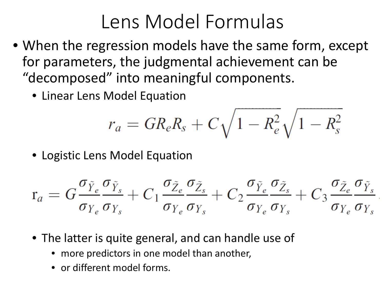#### Lens Model Formulas

- When the regression models have the same form, except for parameters, the judgmental achievement can be "decomposed" into meaningful components.
	- Linear Lens Model Equation

$$
r_a = GR_e R_s + C \sqrt{1 - R_e^2} \sqrt{1 - R_s^2}
$$

• Logistic Lens Model Equation

$$
\mathbf{r}_a = G \frac{\sigma_{\tilde{Y}_e} \sigma_{\tilde{Y}_s}}{\sigma_{Y_e} \sigma_{Y_s}} + C_1 \frac{\sigma_{\tilde{Z}_e} \sigma_{\tilde{Z}_s}}{\sigma_{Y_e} \sigma_{Y_s}} + C_2 \frac{\sigma_{\tilde{Y}_e} \sigma_{\tilde{Z}_s}}{\sigma_{Y_e} \sigma_{Y_s}} + C_3 \frac{\sigma_{\tilde{Z}_e} \sigma_{\tilde{Y}_s}}{\sigma_{Y_e} \sigma_{Y_s}}
$$

- The latter is quite general, and can handle use of
	- more predictors in one model than another,
	- or different model forms.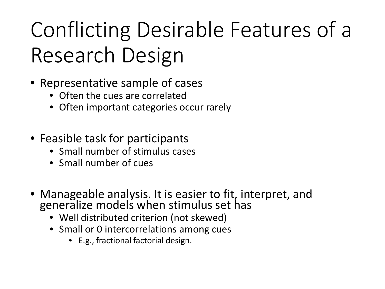# Conflicting Desirable Features of a Research Design

- Representative sample of cases
	- Often the cues are correlated
	- Often important categories occur rarely
- Feasible task for participants
	- Small number of stimulus cases
	- Small number of cues
- Manageable analysis. It is easier to fit, interpret, and generalize models when stimulus set has
	- Well distributed criterion (not skewed)
	- Small or 0 intercorrelations among cues
		- E.g., fractional factorial design.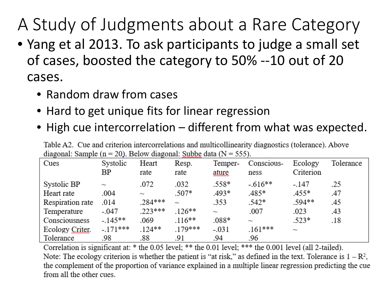#### A Study of Judgments about a Rare Category

- Yang et al 2013. To ask participants to judge a small set of cases, boosted the category to 50% --10 out of 20 cases.
	- Random draw from cases
	- Hard to get unique fits for linear regression
	- High cue intercorrelation different from what was expected.

Table A2. Cue and criterion intercorrelations and multicollinearity diagnostics (tolerance). Above diagonal: Sample ( $n = 20$ ). Below diagonal: Subbe data ( $N = 555$ ).

| -<br>Cues        | Systolic<br>ΒP | Heart<br>rate | <b>AAAAAAAAAAA</b><br>Resp.<br>rate | Temper-<br>ature | Conscious-<br>ness        | Ecology<br>Criterion | Tolerance |
|------------------|----------------|---------------|-------------------------------------|------------------|---------------------------|----------------------|-----------|
| Systolic BP      | $\sim$         | .072          | .032                                | .558*            | $-.616**$                 | $-.147$              | .25       |
| Heart rate       | .004           | $\sim$        | $.507*$                             | $.493*$          | $.485*$                   | .455*                | .47       |
| Respiration rate | .014           | $.284***$     | $\sim$                              | .353             | $.542*$                   | .594**               | .45       |
| Temperature      | $-.047$        | $.223***$     | $126**$                             | $\tilde{}$       | .007                      | .023                 | .43       |
| Consciousness    | $-.145**$      | .069          | $.116**$                            | $.088*$          | $\widetilde{\phantom{m}}$ | $.523*$              | .18       |
| Ecology Criter.  | $-.171***$     | $.124**$      | .179***                             | $-.031$          | $.161***$                 | $\sim$               |           |
| Tolerance        | .98            | .88           | .91                                 | .94              | .96                       |                      |           |

Correlation is significant at: \* the 0.05 level; \*\* the 0.01 level; \*\*\* the 0.001 level (all 2-tailed). Note: The ecology criterion is whether the patient is "at risk," as defined in the text. Tolerance is  $1 - R^2$ , the complement of the proportion of variance explained in a multiple linear regression predicting the cue from all the other cues.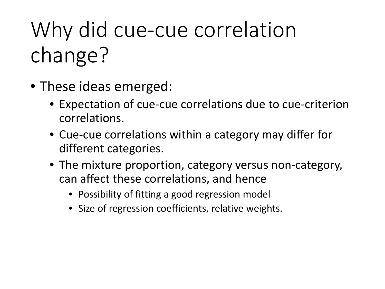# Why did cue-cue correlation change?

- These ideas emerged:
	- Expectation of cue-cue correlations due to cue-criterion correlations.
	- Cue-cue correlations within a category may differ for different categories.
	- The mixture proportion, category versus non-category, can affect these correlations, and hence
		- Possibility of fitting a good regression model
		- Size of regression coefficients, relative weights.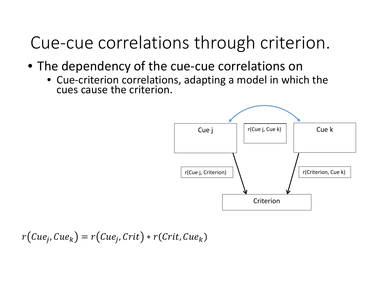Cue-cue correlations through criterion.

- The dependency of the cue-cue correlations on
	- Cue-criterion correlations, adapting a model in which the cues cause the criterion.



$$
r(Cue_j, Cue_k) = r(Cue_j, Crit) * r(Crit, Cue_k)
$$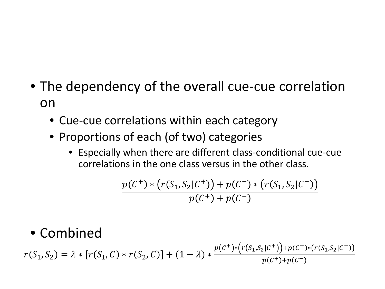- The dependency of the overall cue-cue correlation on
	- Cue-cue correlations within each category
	- Proportions of each (of two) categories
		- Especially when there are different class-conditional cue-cue correlations in the one class versus in the other class.

$$
\frac{p(C^+)*(r(S_1,S_2|C^+)) + p(C^-)*(r(S_1,S_2|C^-))}{p(C^+) + p(C^-)}
$$

#### • Combined

 $r(S_1, S_2) = \lambda * [r(S_1, C) * r(S_2, C)] + (1 - \lambda) *$  $p(C^+){*}(r(S_1,S_2|C^+)) + p(C^-){*}(r(S_1,S_2|C^-))$  $p(C^+) + p(C^-)$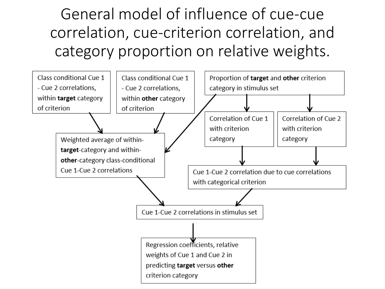General model of influence of cue-cue correlation, cue-criterion correlation, and category proportion on relative weights.

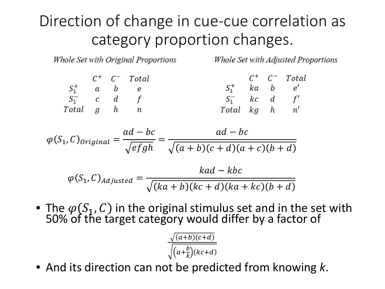#### Direction of change in cue-cue correlation as category proportion changes.

Whole Set with Original Proportions

Whole Set with Adjusted Proportions

|               |  | $C^+$ $C^ Total$ |                 |  | $C^+$ $C^-$ Total |
|---------------|--|------------------|-----------------|--|-------------------|
| $S_1^+$ a b e |  |                  | $S_1^+$ ka b e' |  |                   |
| $S_1^-$ c d f |  |                  | $S_1^-$ kc d f' |  |                   |
| Total g h n   |  |                  | Total kg h n'   |  |                   |

$$
\varphi(S_1, C)_{original} = \frac{ad - bc}{\sqrt{efgh}} = \frac{ad - bc}{\sqrt{(a+b)(c+d)(a+c)(b+d)}}
$$

$$
\varphi(S_1, C)_{adjusted} = \frac{kad - kbc}{\sqrt{(ka + b)(kc + d)(ka + kc)(b + d)}}
$$

• The  $\varphi(S_1, C)$  in the original stimulus set and in the set with 50% of the target category would differ by a factor of

$$
\frac{\sqrt{(a+b)(c+d)}}{\sqrt{(a+\frac{b}{k})(kc+d)}}
$$

• And its direction can not be predicted from knowing *k*.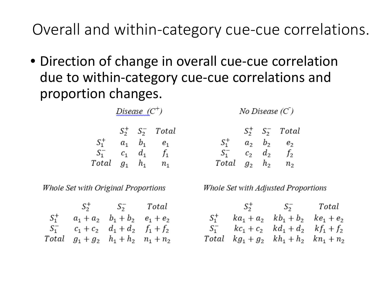Overall and within-category cue-cue correlations.

• Direction of change in overall cue-cue correlation due to within-category cue-cue correlations and proportion changes.

|         | $S_2^+$ | $S_2^-$ | Total                        |
|---------|---------|---------|------------------------------|
| $S_1^+$ | $a_{1}$ | b,      | $e_{1}$                      |
| $S_1^-$ | $c_{1}$ | d1      | f,                           |
| Total   | $g_1$   | h,      | $\,n_{\scriptscriptstyle 1}$ |

Disease  $(C^+)$ 

Whole Set with Original Proportions

|         | $S_2^+$ $S_2^-$ Total                    |  |
|---------|------------------------------------------|--|
| $S_1^+$ | $a_1 + a_2$ $b_1 + b_2$ $e_1 + e_2$      |  |
|         | $S_1^ c_1 + c_2$ $d_1 + d_2$ $f_1 + f_2$ |  |
| Total   | $g_1 + g_2$ $h_1 + h_2$ $n_1 + n_2$      |  |

No Disease  $(C)$ 

|         | $S_2^+$        | $S_2^-$ | Total   |
|---------|----------------|---------|---------|
| $S_1^+$ | $a_{2}$        | b,      | $e_{2}$ |
| $S_1^-$ | c <sub>2</sub> | $d_2$   | $f_2$   |
| Total   | $g_2$          | $h_{2}$ | $n_{2}$ |

Whole Set with Adjusted Proportions

 $S_2^+$   $S_2^-$  Total  $S_1^+$   $ka_1 + a_2$   $kb_1 + b_2$   $ke_1 + e_2$  $S_1^ kc_1 + c_2$   $kd_1 + d_2$   $kf_1 + f_2$ Total  $kg_1 + g_2$   $kh_1 + h_2$   $kn_1 + n_2$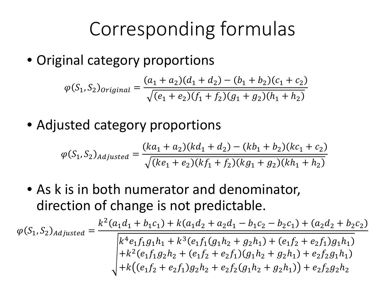#### Corresponding formulas

• Original category proportions

$$
\varphi(S_1, S_2)_{original} = \frac{(a_1 + a_2)(d_1 + d_2) - (b_1 + b_2)(c_1 + c_2)}{\sqrt{(e_1 + e_2)(f_1 + f_2)(g_1 + g_2)(h_1 + h_2)}}
$$

• Adjusted category proportions

$$
\varphi(S_1, S_2)_{adjusted} = \frac{(ka_1 + a_2)(kd_1 + d_2) - (kb_1 + b_2)(kc_1 + c_2)}{\sqrt{(ke_1 + e_2)(kf_1 + f_2)(kg_1 + g_2)(kh_1 + h_2)}}
$$

• As k is in both numerator and denominator, direction of change is not predictable.

$$
\varphi(S_1, S_2)_{adjusted} = \frac{k^2(a_1d_1 + b_1c_1) + k(a_1d_2 + a_2d_1 - b_1c_2 - b_2c_1) + (a_2d_2 + b_2c_2)}{k^4e_1f_1g_1h_1 + k^3(e_1f_1(g_1h_2 + g_2h_1) + (e_1f_2 + e_2f_1)g_1h_1)} + k^2(e_1f_1g_2h_2 + (e_1f_2 + e_2f_1)(g_1h_2 + g_2h_1) + e_2f_2g_1h_1) + k((e_1f_2 + e_2f_1)g_2h_2 + e_2f_2(g_1h_2 + g_2h_1)) + e_2f_2g_2h_2
$$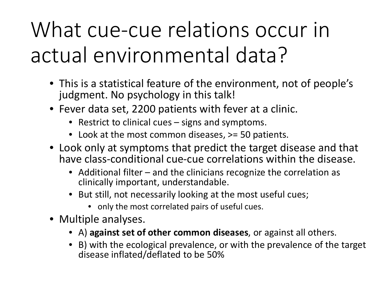## What cue-cue relations occur in actual environmental data?

- This is a statistical feature of the environment, not of people's judgment. No psychology in this talk!
- Fever data set, 2200 patients with fever at a clinic.
	- Restrict to clinical cues signs and symptoms.
	- Look at the most common diseases,  $\ge$  50 patients.
- Look only at symptoms that predict the target disease and that have class-conditional cue-cue correlations within the disease.
	- Additional filter and the clinicians recognize the correlation as clinically important, understandable.
	- But still, not necessarily looking at the most useful cues;
		- only the most correlated pairs of useful cues.
- Multiple analyses.
	- A) **against set of other common diseases**, or against all others.
	- B) with the ecological prevalence, or with the prevalence of the target disease inflated/deflated to be 50%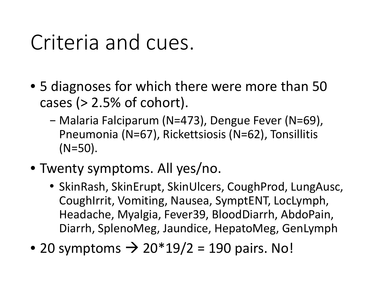### Criteria and cues.

- 5 diagnoses for which there were more than 50 cases  $(> 2.5\%$  of cohort).
	- − Malaria Falciparum (N=473), Dengue Fever (N=69), Pneumonia (N=67), Rickettsiosis (N=62), Tonsillitis (N=50).
- Twenty symptoms. All yes/no.
	- SkinRash, SkinErupt, SkinUlcers, CoughProd, LungAusc, CoughIrrit, Vomiting, Nausea, SymptENT, LocLymph, Headache, Myalgia, Fever39, BloodDiarrh, AbdoPain, Diarrh, SplenoMeg, Jaundice, HepatoMeg, GenLymph
- 20 symptoms  $\rightarrow$  20\*19/2 = 190 pairs. No!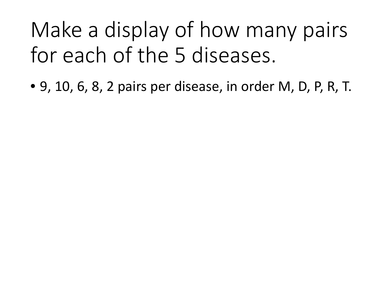## Make a display of how many pairs for each of the 5 diseases.

• 9, 10, 6, 8, 2 pairs per disease, in order M, D, P, R, T.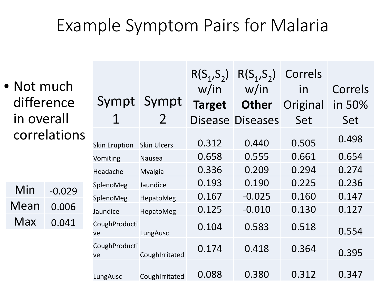#### Example Symptom Pairs for Malaria

|              |            |                      |                     |                  | $R(S_1, S_2)$ | $R(S_1, S_2)$           | Correls  |        |
|--------------|------------|----------------------|---------------------|------------------|---------------|-------------------------|----------|--------|
| • Not much   |            |                      |                     | w/in             | w/in          | in                      | Correls  |        |
|              | difference |                      |                     | Sympt Sympt      | <b>Target</b> | <b>Other</b>            | Original | in 50% |
|              | in overall |                      |                     | $\overline{2}$   |               | <b>Disease Diseases</b> | Set      | Set    |
| correlations |            | <b>Skin Eruption</b> | <b>Skin Ulcers</b>  | 0.312            | 0.440         | 0.505                   | 0.498    |        |
|              |            |                      | Vomiting            | <b>Nausea</b>    | 0.658         | 0.555                   | 0.661    | 0.654  |
|              |            |                      | Headache            | <b>Myalgia</b>   | 0.336         | 0.209                   | 0.294    | 0.274  |
|              |            |                      | SplenoMeg           | Jaundice         | 0.193         | 0.190                   | 0.225    | 0.236  |
|              | Min        | $-0.029$             | SplenoMeg           | HepatoMeg        | 0.167         | $-0.025$                | 0.160    | 0.147  |
|              | Mean       | 0.006                | Jaundice            | <b>HepatoMeg</b> | 0.125         | $-0.010$                | 0.130    | 0.127  |
|              | <b>Max</b> | 0.041                | CoughProducti<br>ve | LungAusc         | 0.104         | 0.583                   | 0.518    | 0.554  |
|              |            |                      | CoughProducti<br>ve | CoughIrritated   | 0.174         | 0.418                   | 0.364    | 0.395  |
|              |            |                      | LungAusc            | CoughIrritated   | 0.088         | 0.380                   | 0.312    | 0.347  |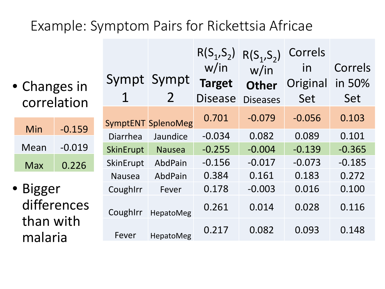#### Example: Symptom Pairs for Rickettsia Africae

• Changes in correlation

| Min  | $-0.159$ |
|------|----------|
| Mean | $-0.019$ |
| Max  | 0.226    |

• Bigger differences than with malaria

| 1             | Sympt Sympt               | $R(S_1, S_2)$<br>w/in<br><b>Target</b><br><b>Disease</b> | $R(S_1, S_2)$<br>w/in<br><b>Other</b><br><b>Diseases</b> | Correls<br>in<br>Original<br>Set | Correls<br>in 50%<br>Set |
|---------------|---------------------------|----------------------------------------------------------|----------------------------------------------------------|----------------------------------|--------------------------|
|               | <b>SymptENT SplenoMeg</b> | 0.701                                                    | $-0.079$                                                 | $-0.056$                         | 0.103                    |
| Diarrhea      | Jaundice                  | $-0.034$                                                 | 0.082                                                    | 0.089                            | 0.101                    |
| SkinErupt     | <b>Nausea</b>             | $-0.255$                                                 | $-0.004$                                                 | $-0.139$                         | $-0.365$                 |
| SkinErupt     | AbdPain                   | $-0.156$                                                 | $-0.017$                                                 | $-0.073$                         | $-0.185$                 |
| <b>Nausea</b> | AbdPain                   | 0.384                                                    | 0.161                                                    | 0.183                            | 0.272                    |
| CoughIrr      | Fever                     | 0.178                                                    | $-0.003$                                                 | 0.016                            | 0.100                    |
| Coughirr      | <b>HepatoMeg</b>          | 0.261                                                    | 0.014                                                    | 0.028                            | 0.116                    |
| Fever         | <b>HepatoMeg</b>          | 0.217                                                    | 0.082                                                    | 0.093                            | 0.148                    |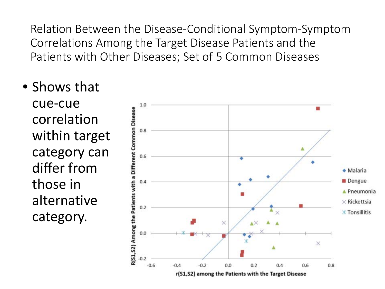Relation Between the Disease-Conditional Symptom-Symptom Correlations Among the Target Disease Patients and the Patients with Other Diseases; Set of 5 Common Diseases

• Shows that

cue-cue correlation within target category can differ from those in alternative category.

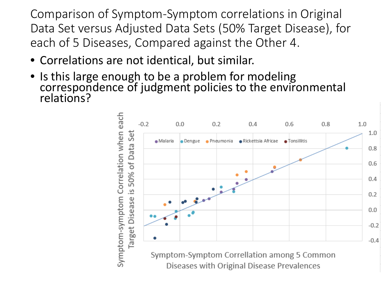Comparison of Symptom-Symptom correlations in Original Data Set versus Adjusted Data Sets (50% Target Disease), for each of 5 Diseases, Compared against the Other 4.

- Correlations are not identical, but similar.
- Is this large enough to be a problem for modeling correspondence of judgment policies to the environmental relations?

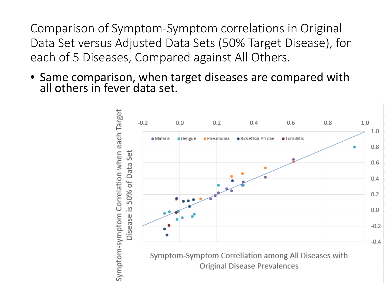Comparison of Symptom-Symptom correlations in Original Data Set versus Adjusted Data Sets (50% Target Disease), for each of 5 Diseases, Compared against All Others.

• Same comparison, when target diseases are compared with all others in fever data set.

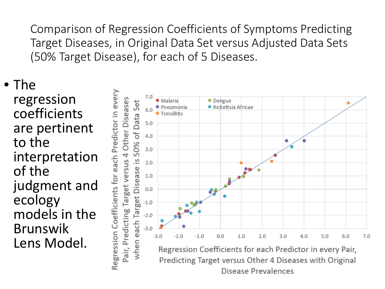Comparison of Regression Coefficients of Symptoms Predicting Target Diseases, in Original Data Set versus Adjusted Data Sets (50% Target Disease), for each of 5 Diseases.

• The regression coefficients are pertinent to the interpretation of the judgment and ecology models in the Brunswik Lens Model.

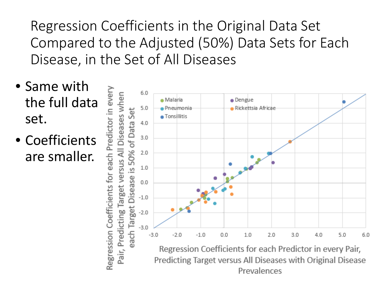Regression Coefficients in the Original Data Set Compared to the Adjusted (50%) Data Sets for Each Disease, in the Set of All Diseases

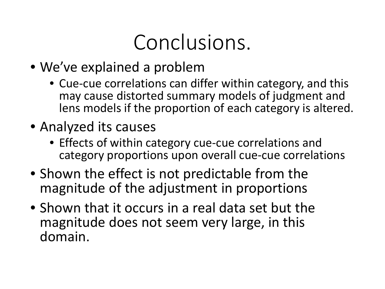## Conclusions.

- We've explained a problem
	- Cue-cue correlations can differ within category, and this may cause distorted summary models of judgment and lens models if the proportion of each category is altered.
- Analyzed its causes
	- Effects of within category cue-cue correlations and category proportions upon overall cue-cue correlations
- Shown the effect is not predictable from the magnitude of the adjustment in proportions
- Shown that it occurs in a real data set but the magnitude does not seem very large, in this domain.